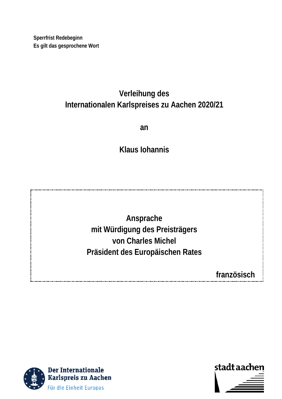**Sperrfrist Redebeginn Es gilt das gesprochene Wort**

# **Verleihung des Internationalen Karlspreises zu Aachen 2020/21**

**an**

**Klaus Iohannis**

**Ansprache mit Würdigung des Preisträgers von Charles Michel Präsident des Europäischen Rates**

**französisch**



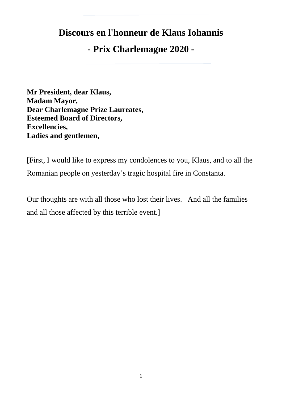# **Discours en l'honneur de Klaus Iohannis**

# **- Prix Charlemagne 2020 -**

**Mr President, dear Klaus, Madam Mayor, Dear Charlemagne Prize Laureates, Esteemed Board of Directors, Excellencies, Ladies and gentlemen,**

[First, I would like to express my condolences to you, Klaus, and to all the Romanian people on yesterday's tragic hospital fire in Constanta.

Our thoughts are with all those who lost their lives. And all the families and all those affected by this terrible event.]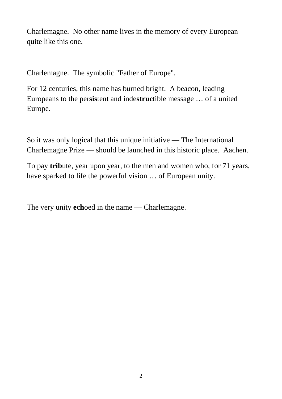Charlemagne. No other name lives in the memory of every European quite like this one.

Charlemagne. The symbolic "Father of Europe".

For 12 centuries, this name has burned bright. A beacon, leading Europeans to the per**sis**tent and inde**struc**tible message … of a united Europe.

So it was only logical that this unique initiative — The International Charlemagne Prize — should be launched in this historic place. Aachen.

To pay **trib**ute, year upon year, to the men and women who, for 71 years, have sparked to life the powerful vision … of European unity.

The very unity **ech**oed in the name — Charlemagne.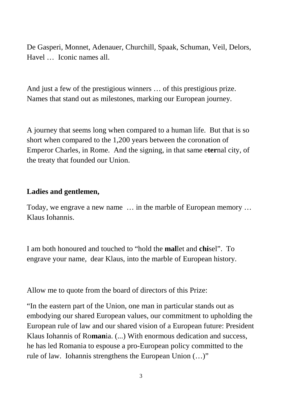De Gasperi, Monnet, Adenauer, Churchill, Spaak, Schuman, Veil, Delors, Havel … Iconic names all.

And just a few of the prestigious winners … of this prestigious prize. Names that stand out as milestones, marking our European journey.

A journey that seems long when compared to a human life. But that is so short when compared to the 1,200 years between the coronation of Emperor Charles, in Rome. And the signing, in that same e**ter**nal city, of the treaty that founded our Union.

### **Ladies and gentlemen,**

Today, we engrave a new name … in the marble of European memory … Klaus Iohannis.

I am both honoured and touched to "hold the **mal**let and **chi**sel". To engrave your name, dear Klaus, into the marble of European history.

Allow me to quote from the board of directors of this Prize:

"In the eastern part of the Union, one man in particular stands out as embodying our shared European values, our commitment to upholding the European rule of law and our shared vision of a European future: President Klaus Iohannis of Ro**man**ia. (...) With enormous dedication and success, he has led Romania to espouse a pro-European policy committed to the rule of law. Iohannis strengthens the European Union (…)"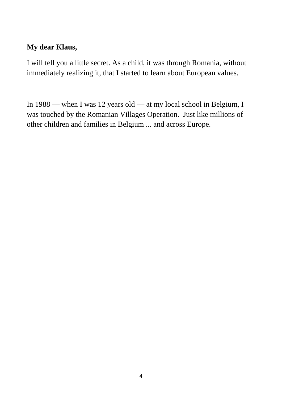## **My dear Klaus,**

I will tell you a little secret. As a child, it was through Romania, without immediately realizing it, that I started to learn about European values.

In 1988 — when I was 12 years old — at my local school in Belgium, I was touched by the Romanian Villages Operation. Just like millions of other children and families in Belgium ... and across Europe.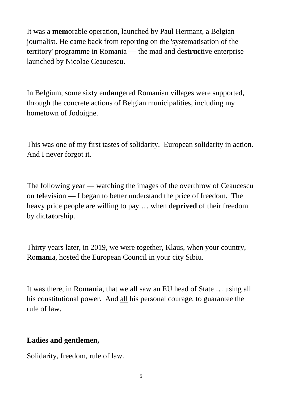It was a **mem**orable operation, launched by Paul Hermant, a Belgian journalist. He came back from reporting on the 'systematisation of the territory' programme in Romania — the mad and de**struc**tive enterprise launched by Nicolae Ceaucescu.

In Belgium, some sixty en**dan**gered Romanian villages were supported, through the concrete actions of Belgian municipalities, including my hometown of Jodoigne.

This was one of my first tastes of solidarity. European solidarity in action. And I never forgot it.

The following year — watching the images of the overthrow of Ceaucescu on **tel**evision — I began to better understand the price of freedom. The heavy price people are willing to pay … when de**prived** of their freedom by dic**tat**orship.

Thirty years later, in 2019, we were together, Klaus, when your country, Ro**man**ia, hosted the European Council in your city Sibiu.

It was there, in Ro**man**ia, that we all saw an EU head of State … using all his constitutional power. And all his personal courage, to guarantee the rule of law.

## **Ladies and gentlemen,**

Solidarity, freedom, rule of law.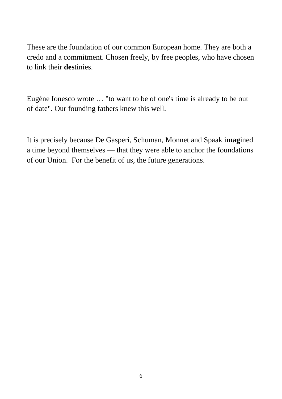These are the foundation of our common European home. They are both a credo and a commitment. Chosen freely, by free peoples, who have chosen to link their **des**tinies.

Eugène Ionesco wrote … "to want to be of one's time is already to be out of date". Our founding fathers knew this well.

It is precisely because De Gasperi, Schuman, Monnet and Spaak i**mag**ined a time beyond themselves — that they were able to anchor the foundations of our Union. For the benefit of us, the future generations.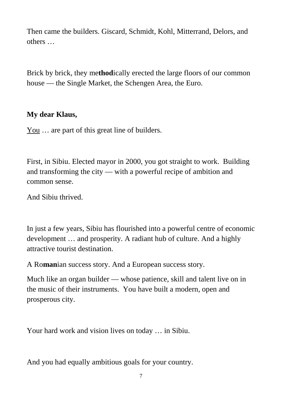Then came the builders. Giscard, Schmidt, Kohl, Mitterrand, Delors, and others …

Brick by brick, they me**thod**ically erected the large floors of our common house — the Single Market, the Schengen Area, the Euro.

## **My dear Klaus,**

You ... are part of this great line of builders.

First, in Sibiu. Elected mayor in 2000, you got straight to work. Building and transforming the city — with a powerful recipe of ambition and common sense.

And Sibiu thrived.

In just a few years, Sibiu has flourished into a powerful centre of economic development … and prosperity. A radiant hub of culture. And a highly attractive tourist destination.

A Ro**man**ian success story. And a European success story.

Much like an organ builder — whose patience, skill and talent live on in the music of their instruments. You have built a modern, open and prosperous city.

Your hard work and vision lives on today … in Sibiu.

And you had equally ambitious goals for your country.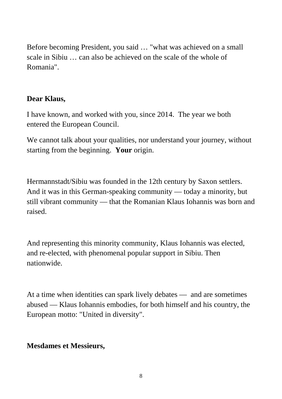Before becoming President, you said … "what was achieved on a small scale in Sibiu … can also be achieved on the scale of the whole of Romania".

## **Dear Klaus,**

I have known, and worked with you, since 2014. The year we both entered the European Council.

We cannot talk about your qualities, nor understand your journey, without starting from the beginning. **Your** origin.

Hermannstadt/Sibiu was founded in the 12th century by Saxon settlers. And it was in this German-speaking community — today a minority, but still vibrant community — that the Romanian Klaus Iohannis was born and raised.

And representing this minority community, Klaus Iohannis was elected, and re-elected, with phenomenal popular support in Sibiu. Then nationwide.

At a time when identities can spark lively debates — and are sometimes abused — Klaus Iohannis embodies, for both himself and his country, the European motto: "United in diversity".

## **Mesdames et Messieurs,**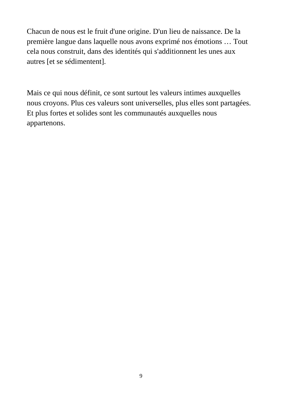Chacun de nous est le fruit d'une origine. D'un lieu de naissance. De la première langue dans laquelle nous avons exprimé nos émotions … Tout cela nous construit, dans des identités qui s'additionnent les unes aux autres [et se sédimentent].

Mais ce qui nous définit, ce sont surtout les valeurs intimes auxquelles nous croyons. Plus ces valeurs sont universelles, plus elles sont partagées. Et plus fortes et solides sont les communautés auxquelles nous appartenons.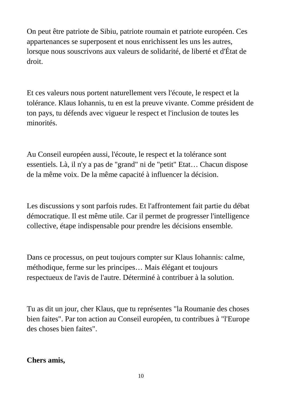On peut être patriote de Sibiu, patriote roumain et patriote européen. Ces appartenances se superposent et nous enrichissent les uns les autres, lorsque nous souscrivons aux valeurs de solidarité, de liberté et d'État de droit.

Et ces valeurs nous portent naturellement vers l'écoute, le respect et la tolérance. Klaus Iohannis, tu en est la preuve vivante. Comme président de ton pays, tu défends avec vigueur le respect et l'inclusion de toutes les minorités.

Au Conseil européen aussi, l'écoute, le respect et la tolérance sont essentiels. Là, il n'y a pas de "grand" ni de "petit" Etat… Chacun dispose de la même voix. De la même capacité à influencer la décision.

Les discussions y sont parfois rudes. Et l'affrontement fait partie du débat démocratique. Il est même utile. Car il permet de progresser l'intelligence collective, étape indispensable pour prendre les décisions ensemble.

Dans ce processus, on peut toujours compter sur Klaus Iohannis: calme, méthodique, ferme sur les principes… Mais élégant et toujours respectueux de l'avis de l'autre. Déterminé à contribuer à la solution.

Tu as dit un jour, cher Klaus, que tu représentes "la Roumanie des choses bien faites". Par ton action au Conseil européen, tu contribues à "l'Europe des choses bien faites".

### **Chers amis,**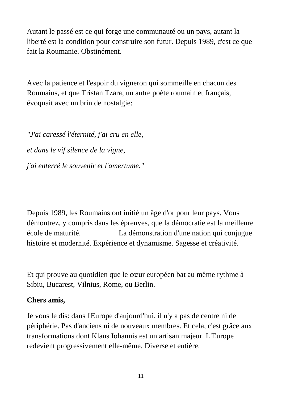Autant le passé est ce qui forge une communauté ou un pays, autant la liberté est la condition pour construire son futur. Depuis 1989, c'est ce que fait la Roumanie. Obstinément.

Avec la patience et l'espoir du vigneron qui sommeille en chacun des Roumains, et que Tristan Tzara, un autre poète roumain et français, évoquait avec un brin de nostalgie:

*"J'ai [caressé](https://www.dicocitations.com/citation.php?mot=caresse) l['éternité,](https://www.dicocitations.com/citation.php?mot=eternite) j'ai cru en [elle,](https://www.dicocitations.com/citation.php?mot=elle) et [dans](https://www.dicocitations.com/citation.php?mot=dans) le vif [silence](https://www.dicocitations.com/citation.php?mot=silence) de la [vigne,](https://www.dicocitations.com/citation.php?mot=vigne) j'ai [enterré](https://www.dicocitations.com/citation.php?mot=enterre) le [souvenir](https://www.dicocitations.com/citation.php?mot=souvenir) et l['amertume.](https://www.dicocitations.com/citation.php?mot=amertume)"*

Depuis 1989, les Roumains ont initié un âge d'or pour leur pays. Vous démontrez, y compris dans les épreuves, que la démocratie est la meilleure école de maturité. La démonstration d'une nation qui conjugue histoire et modernité. Expérience et dynamisme. Sagesse et créativité.

Et qui prouve au quotidien que le cœur européen bat au même rythme à Sibiu, Bucarest, Vilnius, Rome, ou Berlin.

### **Chers amis,**

Je vous le dis: dans l'Europe d'aujourd'hui, il n'y a pas de centre ni de périphérie. Pas d'anciens ni de nouveaux membres. Et cela, c'est grâce aux transformations dont Klaus Iohannis est un artisan majeur. L'Europe redevient progressivement elle-même. Diverse et entière.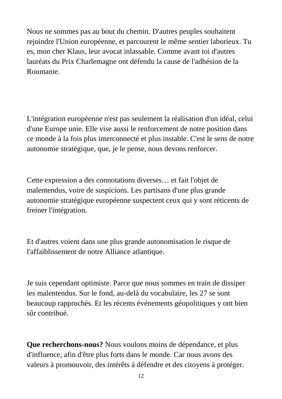Nous ne sommes pas au bout du chemin. D'autres peuples souhaitent rejoindre l'Union européenne, et parcourent le même sentier laborieux. Tu es, mon cher Klaus, leur avocat inlassable. Comme avant toi d'autres lauréats du Prix Charlemagne ont défendu la cause de l'adhésion de la Roumanie.

L'intégration européenne n'est pas seulement la réalisation d'un idéal, celui d'une Europe unie. Elle vise aussi le renforcement de notre position dans ce monde à la fois plus interconnecté et plus instable. C'est le sens de notre autonomie stratégique, que, je le pense, nous devons renforcer.

Cette expression a des connotations diverses… et fait l'objet de malentendus, voire de suspicions. Les partisans d'une plus grande autonomie stratégique européenne suspectent ceux qui y sont réticents de freiner l'intégration.

Et d'autres voient dans une plus grande autonomisation le risque de l'affaiblissement de notre Alliance atlantique.

Je suis cependant optimiste. Parce que nous sommes en train de dissiper les malentendus. Sur le fond, au-delà du vocabulaire, les 27 se sont beaucoup rapprochés. Et les récents événements géopolitiques y ont bien sûr contribué.

**Que recherchons-nous?** Nous voulons moins de dépendance, et plus d'influence, afin d'être plus forts dans le monde. Car nous avons des valeurs à promouvoir, des intérêts à défendre et des citoyens à protéger.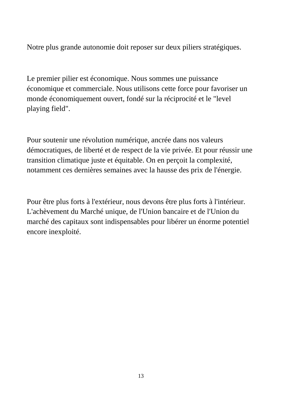Notre plus grande autonomie doit reposer sur deux piliers stratégiques.

Le premier pilier est économique. Nous sommes une puissance économique et commerciale. Nous utilisons cette force pour favoriser un monde économiquement ouvert, fondé sur la réciprocité et le "level playing field".

Pour soutenir une révolution numérique, ancrée dans nos valeurs démocratiques, de liberté et de respect de la vie privée. Et pour réussir une transition climatique juste et équitable. On en perçoit la complexité, notamment ces dernières semaines avec la hausse des prix de l'énergie.

Pour être plus forts à l'extérieur, nous devons être plus forts à l'intérieur. L'achèvement du Marché unique, de l'Union bancaire et de l'Union du marché des capitaux sont indispensables pour libérer un énorme potentiel encore inexploité.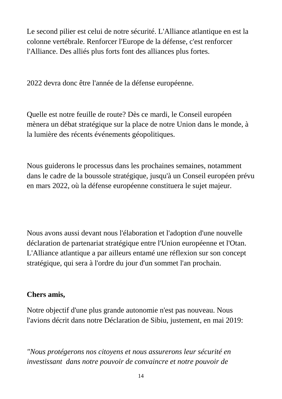Le second pilier est celui de notre sécurité. L'Alliance atlantique en est la colonne vertébrale. Renforcer l'Europe de la défense, c'est renforcer l'Alliance. Des alliés plus forts font des alliances plus fortes.

2022 devra donc être l'année de la défense européenne.

Quelle est notre feuille de route? Dès ce mardi, le Conseil européen mènera un débat stratégique sur la place de notre Union dans le monde, à la lumière des récents événements géopolitiques.

Nous guiderons le processus dans les prochaines semaines, notamment dans le cadre de la boussole stratégique, jusqu'à un Conseil européen prévu en mars 2022, où la défense européenne constituera le sujet majeur.

Nous avons aussi devant nous l'élaboration et l'adoption d'une nouvelle déclaration de partenariat stratégique entre l'Union européenne et l'Otan. L'Alliance atlantique a par ailleurs entamé une réflexion sur son concept stratégique, qui sera à l'ordre du jour d'un sommet l'an prochain.

## **Chers amis,**

Notre objectif d'une plus grande autonomie n'est pas nouveau. Nous l'avions décrit dans notre Déclaration de Sibiu, justement, en mai 2019:

*"Nous protégerons nos citoyens et nous assurerons leur sécurité en investissant dans notre pouvoir de convaincre et notre pouvoir de*